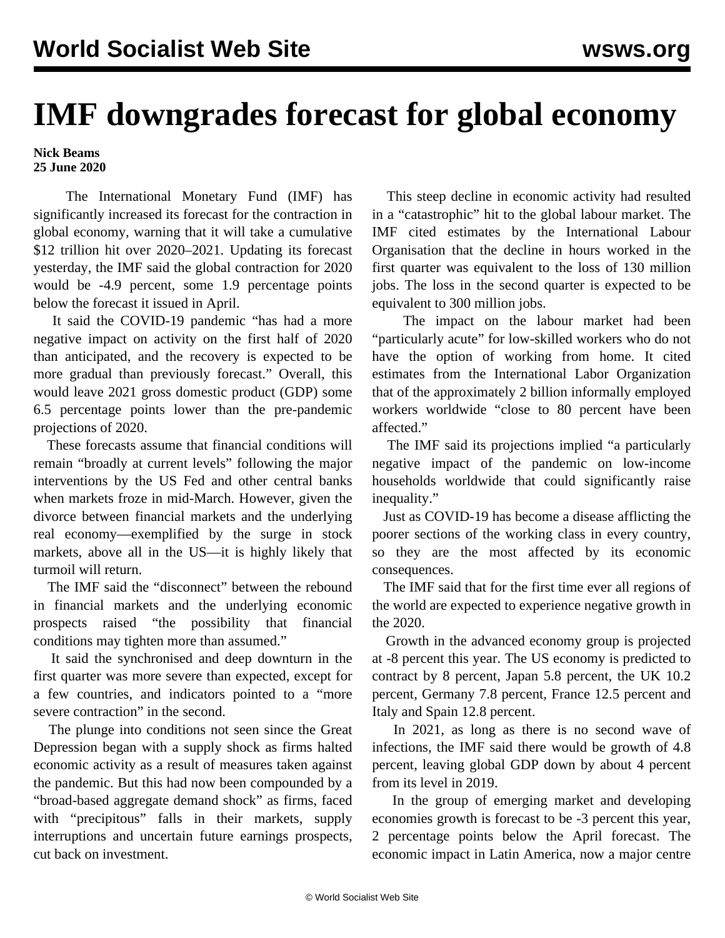## **IMF downgrades forecast for global economy**

**Nick Beams 25 June 2020**

 The International Monetary Fund (IMF) has significantly increased its forecast for the contraction in global economy, warning that it will take a cumulative \$12 trillion hit over 2020–2021. Updating its forecast yesterday, the IMF said the global contraction for 2020 would be -4.9 percent, some 1.9 percentage points below the forecast it issued in April.

 It said the COVID-19 pandemic "has had a more negative impact on activity on the first half of 2020 than anticipated, and the recovery is expected to be more gradual than previously forecast." Overall, this would leave 2021 gross domestic product (GDP) some 6.5 percentage points lower than the pre-pandemic projections of 2020.

 These forecasts assume that financial conditions will remain "broadly at current levels" following the major interventions by the US Fed and other central banks when markets froze in mid-March. However, given the divorce between financial markets and the underlying real economy—exemplified by the surge in stock markets, above all in the US—it is highly likely that turmoil will return.

 The IMF said the "disconnect" between the rebound in financial markets and the underlying economic prospects raised "the possibility that financial conditions may tighten more than assumed."

 It said the synchronised and deep downturn in the first quarter was more severe than expected, except for a few countries, and indicators pointed to a "more severe contraction" in the second.

 The plunge into conditions not seen since the Great Depression began with a supply shock as firms halted economic activity as a result of measures taken against the pandemic. But this had now been compounded by a "broad-based aggregate demand shock" as firms, faced with "precipitous" falls in their markets, supply interruptions and uncertain future earnings prospects, cut back on investment.

 This steep decline in economic activity had resulted in a "catastrophic" hit to the global labour market. The IMF cited estimates by the International Labour Organisation that the decline in hours worked in the first quarter was equivalent to the loss of 130 million jobs. The loss in the second quarter is expected to be equivalent to 300 million jobs.

 The impact on the labour market had been "particularly acute" for low-skilled workers who do not have the option of working from home. It cited estimates from the International Labor Organization that of the approximately 2 billion informally employed workers worldwide "close to 80 percent have been affected."

 The IMF said its projections implied "a particularly negative impact of the pandemic on low-income households worldwide that could significantly raise inequality."

 Just as COVID-19 has become a disease afflicting the poorer sections of the working class in every country, so they are the most affected by its economic consequences.

 The IMF said that for the first time ever all regions of the world are expected to experience negative growth in the 2020.

 Growth in the advanced economy group is projected at -8 percent this year. The US economy is predicted to contract by 8 percent, Japan 5.8 percent, the UK 10.2 percent, Germany 7.8 percent, France 12.5 percent and Italy and Spain 12.8 percent.

 In 2021, as long as there is no second wave of infections, the IMF said there would be growth of 4.8 percent, leaving global GDP down by about 4 percent from its level in 2019.

 In the group of emerging market and developing economies growth is forecast to be -3 percent this year, 2 percentage points below the April forecast. The economic impact in Latin America, now a major centre